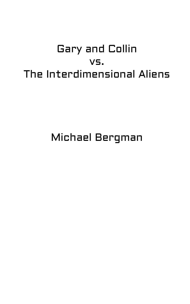## Gary and Collin vs. The Interdimensional Aliens

Michael Bergman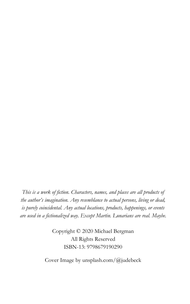*This is a work of fiction. Characters, names, and places are all products of the author's imagination. Any resemblance to actual persons, living or dead, is purely coincidental. Any actual locations, products, happenings, or events are used in a fictionalized way. Except Martin. Lunarians are real. Maybe.*

> Copyright © 2020 Michael Bergman All Rights Reserved ISBN-13: 9798679190290

Cover Image by unsplash.com/@judebeck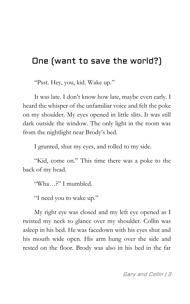## One (want to save the world?)

"Psst. Hey, you, kid. Wake up."

It was late. I don't know how late, maybe even early. I heard the whisper of the unfamiliar voice and felt the poke on my shoulder. My eyes opened in little slits. It was still dark outside the window. The only light in the room was from the nightlight near Brody's bed.

I grunted, shut my eyes, and rolled to my side.

"Kid, come on." This time there was a poke to the back of my head.

"Wha…?" I mumbled.

"I need you to wake up."

My right eye was closed and my left eye opened as I twisted my neck to glance over my shoulder. Collin was asleep in his bed. He was facedown with his eyes shut and his mouth wide open. His arm hung over the side and rested on the floor. Brody was also in his bed in the far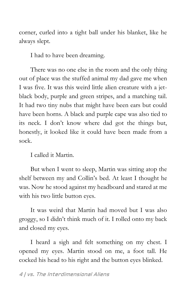corner, curled into a tight ball under his blanket, like he always slept.

I had to have been dreaming.

There was no one else in the room and the only thing out of place was the stuffed animal my dad gave me when I was five. It was this weird little alien creature with a jetblack body, purple and green stripes, and a matching tail. It had two tiny nubs that might have been ears but could have been horns. A black and purple cape was also tied to its neck. I don't know where dad got the things but, honestly, it looked like it could have been made from a sock.

I called it Martin.

But when I went to sleep, Martin was sitting atop the shelf between my and Collin's bed. At least I thought he was. Now he stood against my headboard and stared at me with his two little button eyes.

It was weird that Martin had moved but I was also groggy, so I didn't think much of it. I rolled onto my back and closed my eyes.

I heard a sigh and felt something on my chest. I opened my eyes. Martin stood on me, a foot tall. He cocked his head to his right and the button eyes blinked.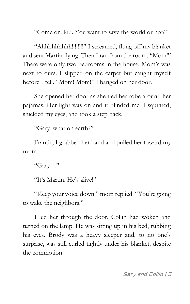"Come on, kid. You want to save the world or not?"

"Ahhhhhhhhh!!!!!!!!" I screamed, flung off my blanket and sent Martin flying. Then I ran from the room. "Mom!" There were only two bedrooms in the house. Mom's was next to ours. I slipped on the carpet but caught myself before I fell. "Mom! Mom!" I banged on her door.

She opened her door as she tied her robe around her pajamas. Her light was on and it blinded me. I squinted, shielded my eyes, and took a step back.

"Gary, what on earth?"

Frantic, I grabbed her hand and pulled her toward my room.

"Gary…"

"It's Martin. He's alive!"

"Keep your voice down," mom replied. "You're going to wake the neighbors."

I led her through the door. Collin had woken and turned on the lamp. He was sitting up in his bed, rubbing his eyes. Brody was a heavy sleeper and, to no one's surprise, was still curled tightly under his blanket, despite the commotion.

Gary and Collin | 5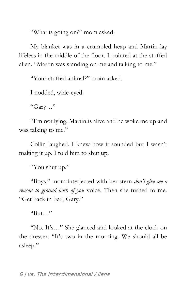"What is going on?" mom asked.

My blanket was in a crumpled heap and Martin lay lifeless in the middle of the floor. I pointed at the stuffed alien. "Martin was standing on me and talking to me."

"Your stuffed animal?" mom asked.

I nodded, wide-eyed.

"Gary…"

"I'm not lying. Martin is alive and he woke me up and was talking to me."

Collin laughed. I knew how it sounded but I wasn't making it up. I told him to shut up.

"You shut up."

"Boys," mom interjected with her stern *don't give me a reason to ground both of you* voice. Then she turned to me. "Get back in bed, Gary."

 $R_{\text{H}}$  "

"No. It's…" She glanced and looked at the clock on the dresser. "It's two in the morning. We should all be asleep."

6 | vs. The Interdimensional Aliens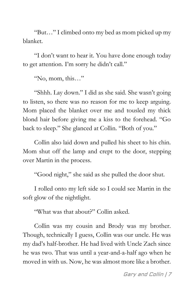"But…" I climbed onto my bed as mom picked up my blanket.

"I don't want to hear it. You have done enough today to get attention. I'm sorry he didn't call."

"No, mom, this…"

"Shhh. Lay down." I did as she said. She wasn't going to listen, so there was no reason for me to keep arguing. Mom placed the blanket over me and tousled my thick blond hair before giving me a kiss to the forehead. "Go back to sleep." She glanced at Collin. "Both of you."

Collin also laid down and pulled his sheet to his chin. Mom shut off the lamp and crept to the door, stepping over Martin in the process.

"Good night," she said as she pulled the door shut.

I rolled onto my left side so I could see Martin in the soft glow of the nightlight.

"What was that about?" Collin asked.

Collin was my cousin and Brody was my brother. Though, technically I guess, Collin was our uncle. He was my dad's half-brother. He had lived with Uncle Zach since he was two. That was until a year-and-a-half ago when he moved in with us. Now, he was almost more like a brother.

Gary and Collin | 7